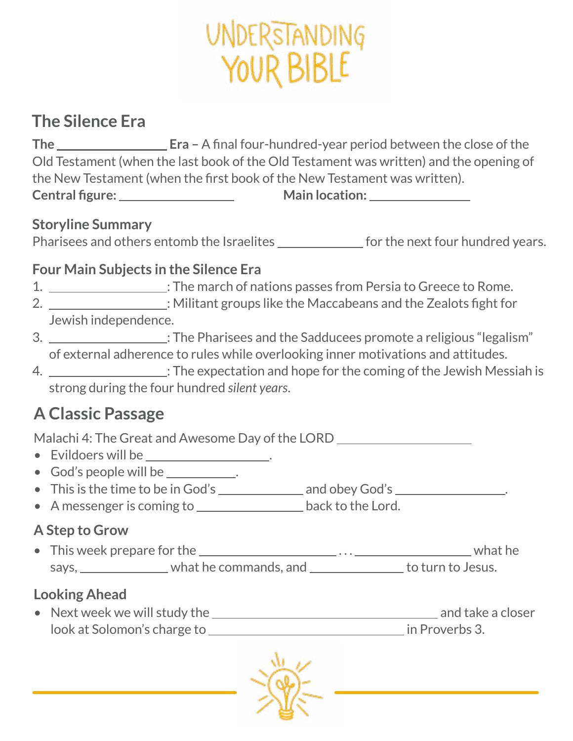# UNDERSTANDING YOUR BIBLE

## **The Silence Era**

**The Era –** A final four-hundred-year period between the close of the Old Testament (when the last book of the Old Testament was written) and the opening of the New Testament (when the first book of the New Testament was written). **Central figure: Main location:** 

### **Storyline Summary**

Pharisees and others entomb the Israelites for the next four hundred years.

#### **Four Main Subjects in the Silence Era**

- 1. \_\_\_\_\_\_\_\_\_\_\_\_\_\_\_\_\_\_\_\_\_: The march of nations passes from Persia to Greece to Rome.
- 2.  $\frac{1}{2}$  : Militant groups like the Maccabeans and the Zealots fight for Jewish independence.
- 3.  $\frac{1}{100}$ : The Pharisees and the Sadducees promote a religious "legalism" of external adherence to rules while overlooking inner motivations and attitudes.
- 4. : The expectation and hope for the coming of the Jewish Messiah is strong during the four hundred *silent years*.

# **A Classic Passage**

Malachi 4: The Great and Awesome Day of the LORD

- Evildoers will be .
- God's people will be \_\_\_\_\_\_\_\_\_.
- This is the time to be in God's and obey God's .
- A messenger is coming to **back to the Lord.**

### **A Step to Grow**

• This week prepare for the  $\_\_\_\_\_\_\_$ ... $\_\_\_\_\_\_\_\_\_$ .... $\_\_\_\_\_\_\_\_$  what he says, \_\_\_\_\_\_\_\_\_\_\_\_\_\_\_\_ what he commands, and \_\_\_\_\_\_\_\_\_\_\_\_\_\_\_\_ to turn to Jesus.

## **Looking Ahead**

• Next week we will study the  $\blacksquare$ look at Solomon's charge to **in Proverbs 3.**